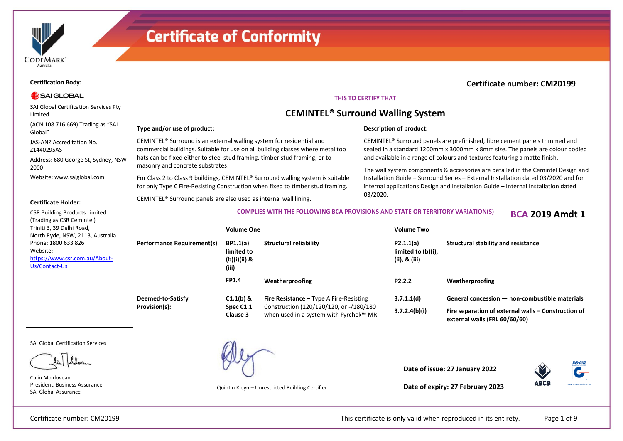

Limited

Global"

2000

Z1440295AS

**Certification Body:**

SAI GLOBAL

SAI Global Certification Services Pty

(ACN 108 716 669) Trading as "SAI

Address: 680 George St, Sydney, NSW

JAS-ANZ Accreditation No.

Website: www.saiglobal.com

CSR Building Products Limited (Trading as CSR Cemintel) Triniti 3, 39 Delhi Road,

North Ryde, NSW, 2113, Australia

https://www.csr.com.au/About-

**Certificate Holder:**

Phone: 1800 633 826

Website:

Us/Contact-Us

### **Certificate of Conformity**

### **Certificate number: CM20199**

#### **THIS TO CERTIFY THAT**

### **CEMINTEL® Surround Walling System**

**Description of product:**

#### **Type and/or use of product:**

CEMINTEL® Surround is an external walling system for residential and commercial buildings. Suitable for use on all building classes where metal top hats can be fixed either to steel stud framing, timber stud framing, or to masonry and concrete substrates.

For Class 2 to Class 9 buildings, CEMINTEL® Surround walling system is suitable for only Type C Fire-Resisting Construction when fixed to timber stud framing.

CEMINTEL® Surround panels are also used as internal wall lining.

#### CEMINTEL® Surround panels are prefinished, fibre cement panels trimmed and sealed in a standard 1200mm x 3000mm x 8mm size. The panels are colour bodied and available in a range of colours and textures featuring a matte finish.

The wall system components & accessories are detailed in the Cemintel Design and Installation Guide – Surround Series – External Installation dated 03/2020 and for internal applications Design and Installation Guide – Internal Installation dated 03/2020.

**COMPLIES WITH THE FOLLOWING BCA PROVISIONS AND STATE OR TERRITORY VARIATION(S) BCA 2019 Amdt 1**

|                                   | <b>Volume One</b>                                      |                                                                                   | Volume Two                                          |                                                                                      |  |
|-----------------------------------|--------------------------------------------------------|-----------------------------------------------------------------------------------|-----------------------------------------------------|--------------------------------------------------------------------------------------|--|
| <b>Performance Requirement(s)</b> | <b>BP1.1(a)</b><br>limited to<br>(b)(i)(ii) &<br>(iii) | Structural reliability                                                            | P2.1.1(a)<br>limited to (b)(i),<br>(ii), $\&$ (iii) | Structural stability and resistance                                                  |  |
|                                   | <b>FP1.4</b>                                           | Weatherproofing                                                                   | P <sub>2</sub> .2.2                                 | Weatherproofing                                                                      |  |
| Deemed-to-Satisfy                 | $C1.1(b)$ &                                            | <b>Fire Resistance - Type A Fire-Resisting</b>                                    | 3.7.1.1(d)                                          | General concession - non-combustible materials                                       |  |
| Provision(s):                     | Spec C1.1<br>Clause 3                                  | Construction (120/120/120, or -/180/180<br>when used in a system with Fyrchek™ MR | 3.7.2.4(b)(i)                                       | Fire separation of external walls – Construction of<br>external walls (FRL 60/60/60) |  |

SAI Global Certification Services

Calin Moldovean President, Business Assurance SAI Global Assurance



Quintin Kleyn – Unrestricted Building Certifier

**Date of issue: 27 January 2022**



**Date of expiry: 27 February 2023**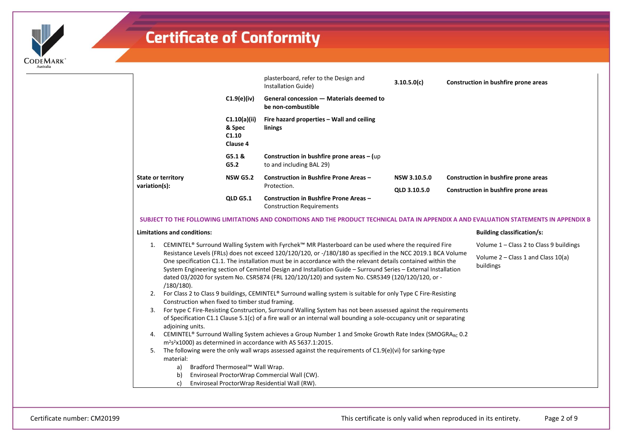

|                           |                                             | plasterboard, refer to the Design and<br>Installation Guide)               | 3.10.5.0(c)  | Construction in bushfire prone areas |
|---------------------------|---------------------------------------------|----------------------------------------------------------------------------|--------------|--------------------------------------|
|                           | $C1.9(e)$ (iv)                              | General concession - Materials deemed to<br>be non-combustible             |              |                                      |
|                           | C1.10(a)(ii)<br>& Spec<br>C1.10<br>Clause 4 | Fire hazard properties – Wall and ceiling<br>linings                       |              |                                      |
|                           | G5.1 &<br>G5.2                              | Construction in bushfire prone areas $-$ (up<br>to and including BAL 29)   |              |                                      |
| <b>State or territory</b> | <b>NSW G5.2</b>                             | Construction in Bushfire Prone Areas -                                     | NSW 3.10.5.0 | Construction in bushfire prone areas |
| variation(s):             |                                             | Protection.                                                                | OLD 3.10.5.0 | Construction in bushfire prone areas |
|                           | <b>QLD G5.1</b>                             | Construction in Bushfire Prone Areas -<br><b>Construction Requirements</b> |              |                                      |

#### **SUBJECT TO THE FOLLOWING LIMITATIONS AND CONDITIONS AND THE PRODUCT TECHNICAL DATA IN APPENDIX A AND EVALUATION STATEMENTS IN APPENDIX B**

#### **Limitations and conditions:**

- 1. CEMINTEL® Surround Walling System with Fyrchek™ MR Plasterboard can be used where the required Fire Resistance Levels (FRLs) does not exceed 120/120/120, or -/180/180 as specified in the NCC 2019.1 BCA Volume One specification C1.1. The installation must be in accordance with the relevant details contained within the System Engineering section of Cemintel Design and Installation Guide – Surround Series – External Installation dated 03/2020 for system No. CSR5874 (FRL 120/120/120) and system No. CSR5349 (120/120/120, or - /180/180). Volume 1 – Class 2 to Class 9 buildings Volume 2 – Class 1 and Class 10(a) buildings
- 2. For Class 2 to Class 9 buildings, CEMINTEL® Surround walling system is suitable for only Type C Fire-Resisting Construction when fixed to timber stud framing.
- 3. For type C Fire-Resisting Construction, Surround Walling System has not been assessed against the requirements of Specification C1.1 Clause 5.1(c) of a fire wall or an internal wall bounding a sole-occupancy unit or separating adjoining units.
- 4. CEMINTEL® Surround Walling System achieves a Group Number 1 and Smoke Growth Rate Index (SMOGRARC 0.2 m<sup>2</sup>s <sup>2</sup>x1000) as determined in accordance with AS 5637.1:2015.
- 5. The following were the only wall wraps assessed against the requirements of C1.9(e)(vi) for sarking-type material:
	- a) Bradford Thermoseal™ Wall Wrap.
	- b) Enviroseal ProctorWrap Commercial Wall (CW).
	- c) Enviroseal ProctorWrap Residential Wall (RW).

**Building classification/s:**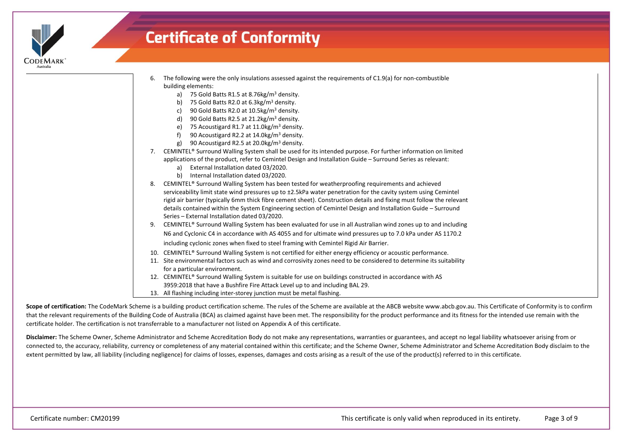

| The following were the only insulations assessed against the requirements of C1.9(a) for non-combustible |
|----------------------------------------------------------------------------------------------------------|
| building elements:                                                                                       |

- a) 75 Gold Batts R1.5 at 8.76 kg/m<sup>3</sup> density.
- b) 75 Gold Batts R2.0 at  $6.3 \text{kg/m}^3$  density.
- c) 90 Gold Batts R2.0 at 10.5kg/m<sup>3</sup> density.
- d) 90 Gold Batts R2.5 at  $21.2$ kg/m<sup>3</sup> density.
- e) 75 Acoustigard R1.7 at 11.0kg/m<sup>3</sup> density.
- f) 90 Acoustigard R2.2 at 14.0kg/m<sup>3</sup> density.
- g) 90 Acoustigard R2.5 at 20.0kg/m<sup>3</sup> density.
- 7. CEMINTEL® Surround Walling System shall be used for its intended purpose. For further information on limited applications of the product, refer to Cemintel Design and Installation Guide – Surround Series as relevant:
	- a) External Installation dated 03/2020.
	- b) Internal Installation dated 03/2020.
- 8. CEMINTEL® Surround Walling System has been tested for weatherproofing requirements and achieved serviceability limit state wind pressures up to ±2.5kPa water penetration for the cavity system using Cemintel rigid air barrier (typically 6mm thick fibre cement sheet). Construction details and fixing must follow the relevant details contained within the System Engineering section of Cemintel Design and Installation Guide – Surround Series – External Installation dated 03/2020.
- 9. CEMINTEL® Surround Walling System has been evaluated for use in all Australian wind zones up to and including N6 and Cyclonic C4 in accordance with AS 4055 and for ultimate wind pressures up to 7.0 kPa under AS 1170.2 including cyclonic zones when fixed to steel framing with Cemintel Rigid Air Barrier.
- 10. CEMINTEL® Surround Walling System is not certified for either energy efficiency or acoustic performance.
- 11. Site environmental factors such as wind and corrosivity zones need to be considered to determine its suitability for a particular environment.
- 12. CEMINTEL® Surround Walling System is suitable for use on buildings constructed in accordance with AS 3959:2018 that have a Bushfire Fire Attack Level up to and including BAL 29.
- 13. All flashing including inter-storey junction must be metal flashing.

Scope of certification: The CodeMark Scheme is a building product certification scheme. The rules of the Scheme are available at the ABCB website www.abcb.gov.au. This Certificate of Conformity is to confirm that the relevant requirements of the Building Code of Australia (BCA) as claimed against have been met. The responsibility for the product performance and its fitness for the intended use remain with the certificate holder. The certification is not transferrable to a manufacturer not listed on Appendix A of this certificate.

**Disclaimer:** The Scheme Owner, Scheme Administrator and Scheme Accreditation Body do not make any representations, warranties or guarantees, and accept no legal liability whatsoever arising from or connected to, the accuracy, reliability, currency or completeness of any material contained within this certificate; and the Scheme Owner, Scheme Administrator and Scheme Accreditation Body disclaim to the extent permitted by law, all liability (including negligence) for claims of losses, expenses, damages and costs arising as a result of the use of the product(s) referred to in this certificate.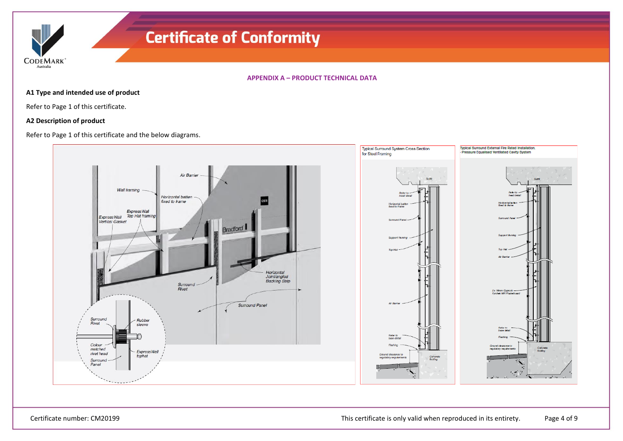**CODEMARK** Australia

**APPENDIX A – PRODUCT TECHNICAL DATA**

### **A1 Type and intended use of product**

Refer to Page 1 of this certificate.

### **A2 Description of product**

Refer to Page 1 of this certificate and the below diagrams.

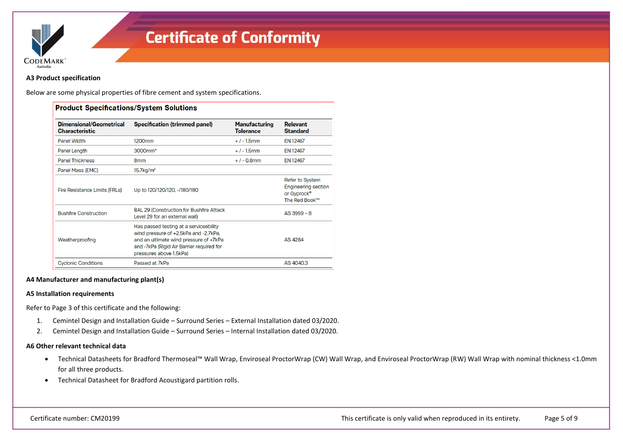

#### **A3 Product specification**

Below are some physical properties of fibre cement and system specifications.

| Dimensional/Geometrical<br><b>Characteristic</b> | <b>Specification (trimmed panel)</b>                                                                                                                                                              | <b>Manufacturing</b><br><b>Tolerance</b> | <b>Relevant</b><br><b>Standard</b>                                            |
|--------------------------------------------------|---------------------------------------------------------------------------------------------------------------------------------------------------------------------------------------------------|------------------------------------------|-------------------------------------------------------------------------------|
| <b>Panel Width</b>                               | 1200mm                                                                                                                                                                                            | $+$ / - 1.5mm                            | EN 12467                                                                      |
| Panel Length                                     | 3000mm*                                                                                                                                                                                           | $+ / - 1.5$ mm                           | <b>EN 12467</b>                                                               |
| <b>Panel Thickness</b>                           | 8 <sub>mm</sub>                                                                                                                                                                                   | $+$ / - 0.8mm                            | <b>EN 12467</b>                                                               |
| Panel Mass (EMC)                                 | 15.7 <sub>kq</sub> /m <sup>2</sup>                                                                                                                                                                |                                          |                                                                               |
| Fire Resistance Limits (FRLs)                    | Up to 120/120/120, -/180/180                                                                                                                                                                      |                                          | Refer to System<br><b>Engineering section</b><br>or Gyprock®<br>The Red Book™ |
| <b>Bushfire Construction</b>                     | <b>BAL 29 (Construction for Bushfire Attack</b><br>Level 29 for an external wall)                                                                                                                 |                                          | $AS$ 3959 - 8                                                                 |
| Weatherproofing                                  | Has passed testing at a serviceability<br>wind pressure of +2.5kPa and -2.7kPa,<br>and an ultimate wind pressure of +7kPa<br>and -7kPa (Rigid Air Barrier required for<br>pressures above 1.5kPa) |                                          | AS 4284                                                                       |
| <b>Cyclonic Conditions</b>                       | Passed at 7kPa                                                                                                                                                                                    |                                          | AS 4040.3                                                                     |

### **A4 Manufacturer and manufacturing plant(s)**

#### **A5 Installation requirements**

Refer to Page 3 of this certificate and the following:

- 1. Cemintel Design and Installation Guide Surround Series External Installation dated 03/2020.
- 2. Cemintel Design and Installation Guide Surround Series Internal Installation dated 03/2020.

#### **A6 Other relevant technical data**

- Technical Datasheets for Bradford Thermoseal™ Wall Wrap, Enviroseal ProctorWrap (CW) Wall Wrap, and Enviroseal ProctorWrap (RW) Wall Wrap with nominal thickness <1.0mm for all three products.
- Technical Datasheet for Bradford Acoustigard partition rolls.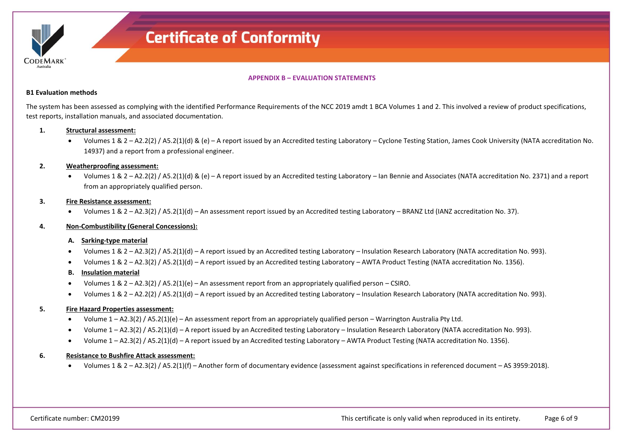

**APPENDIX B – EVALUATION STATEMENTS**

#### **B1 Evaluation methods**

The system has been assessed as complying with the identified Performance Requirements of the NCC 2019 amdt 1 BCA Volumes 1 and 2. This involved a review of product specifications, test reports, installation manuals, and associated documentation.

#### **1. Structural assessment:**

• Volumes 1 & 2 – A2.2(2) / A5.2(1)(d) & (e) – A report issued by an Accredited testing Laboratory – Cyclone Testing Station, James Cook University (NATA accreditation No. 14937) and a report from a professional engineer.

#### **2. Weatherproofing assessment:**

• Volumes 1 & 2 – A2.2(2) / A5.2(1)(d) & (e) – A report issued by an Accredited testing Laboratory – Ian Bennie and Associates (NATA accreditation No. 2371) and a report from an appropriately qualified person.

#### **3. Fire Resistance assessment:**

• Volumes 1 & 2 – A2.3(2) / A5.2(1)(d) – An assessment report issued by an Accredited testing Laboratory – BRANZ Ltd (IANZ accreditation No. 37).

#### **4. Non-Combustibility (General Concessions):**

#### **A. Sarking-type material**

- Volumes 1 & 2 A2.3(2) / A5.2(1)(d) A report issued by an Accredited testing Laboratory Insulation Research Laboratory (NATA accreditation No. 993).
- Volumes 1 & 2 A2.3(2) / A5.2(1)(d) A report issued by an Accredited testing Laboratory AWTA Product Testing (NATA accreditation No. 1356).

#### **B. Insulation material**

- Volumes 1 & 2 A2.3(2) / A5.2(1)(e) An assessment report from an appropriately qualified person CSIRO.
- Volumes 1 & 2 A2.2(2) / A5.2(1)(d) A report issued by an Accredited testing Laboratory Insulation Research Laboratory (NATA accreditation No. 993).

#### **5. Fire Hazard Properties assessment:**

- Volume 1 A2.3(2) / A5.2(1)(e) An assessment report from an appropriately qualified person Warrington Australia Pty Ltd.
- Volume 1 A2.3(2) / A5.2(1)(d) A report issued by an Accredited testing Laboratory Insulation Research Laboratory (NATA accreditation No. 993).
- Volume 1 A2.3(2) / A5.2(1)(d) A report issued by an Accredited testing Laboratory AWTA Product Testing (NATA accreditation No. 1356).

#### **6. Resistance to Bushfire Attack assessment:**

• Volumes 1 & 2 – A2.3(2) / A5.2(1)(f) – Another form of documentary evidence (assessment against specifications in referenced document – AS 3959:2018).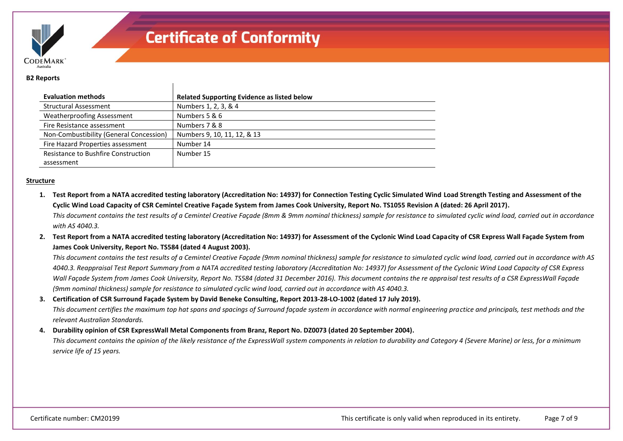

#### **B2 Reports**

| <b>Evaluation methods</b>               | <b>Related Supporting Evidence as listed below</b> |
|-----------------------------------------|----------------------------------------------------|
| <b>Structural Assessment</b>            | Numbers 1, 2, 3, & 4                               |
| <b>Weatherproofing Assessment</b>       | Numbers 5 & 6                                      |
| Fire Resistance assessment              | Numbers 7 & 8                                      |
| Non-Combustibility (General Concession) | Numbers 9, 10, 11, 12, & 13                        |
| Fire Hazard Properties assessment       | Number 14                                          |
| Resistance to Bushfire Construction     | Number 15                                          |
| assessment                              |                                                    |

#### **Structure**

**1. Test Report from a NATA accredited testing laboratory (Accreditation No: 14937) for Connection Testing Cyclic Simulated Wind Load Strength Testing and Assessment of the Cyclic Wind Load Capacity of CSR Cemintel Creative Façade System from James Cook University, Report No. TS1055 Revision A (dated: 26 April 2017).**

*This document contains the test results of a Cemintel Creative Façade (8mm & 9mm nominal thickness) sample for resistance to simulated cyclic wind load, carried out in accordance with AS 4040.3.*

**2. Test Report from a NATA accredited testing laboratory (Accreditation No: 14937) for Assessment of the Cyclonic Wind Load Capacity of CSR Express Wall Façade System from James Cook University, Report No. TS584 (dated 4 August 2003).**

*This document contains the test results of a Cemintel Creative Façade (9mm nominal thickness) sample for resistance to simulated cyclic wind load, carried out in accordance with AS 4040.3. Reappraisal Test Report Summary from a NATA accredited testing laboratory (Accreditation No: 14937) for Assessment of the Cyclonic Wind Load Capacity of CSR Express Wall Façade System from James Cook University, Report No. TS584 (dated 31 December 2016). This document contains the re appraisal test results of a CSR ExpressWall Façade (9mm nominal thickness) sample for resistance to simulated cyclic wind load, carried out in accordance with AS 4040.3.*

**3. Certification of CSR Surround Façade System by David Beneke Consulting, Report 2013-28-LO-1002 (dated 17 July 2019).**

*This document certifies the maximum top hat spans and spacings of Surround façade system in accordance with normal engineering practice and principals, test methods and the relevant Australian Standards.*

**4. Durability opinion of CSR ExpressWall Metal Components from Branz, Report No. DZ0073 (dated 20 September 2004).**

*This document contains the opinion of the likely resistance of the ExpressWall system components in relation to durability and Category 4 (Severe Marine) or less, for a minimum service life of 15 years.*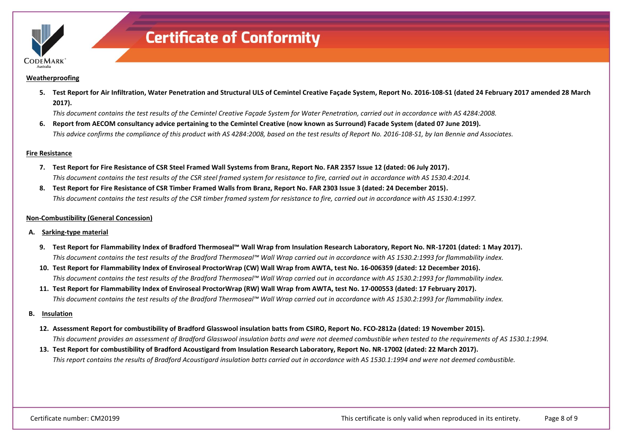

#### **Weatherproofing**

**5. Test Report for Air Infiltration, Water Penetration and Structural ULS of Cemintel Creative Façade System, Report No. 2016-108-S1 (dated 24 February 2017 amended 28 March 2017).**

*This document contains the test results of the Cemintel Creative Façade System for Water Penetration, carried out in accordance with AS 4284:2008.*

**6. Report from AECOM consultancy advice pertaining to the Cemintel Creative (now known as Surround) Facade System (dated 07 June 2019).** *This advice confirms the compliance of this product with AS 4284:2008, based on the test results of Report No. 2016-108-S1, by Ian Bennie and Associates.*

#### **Fire Resistance**

- **7. Test Report for Fire Resistance of CSR Steel Framed Wall Systems from Branz, Report No. FAR 2357 Issue 12 (dated: 06 July 2017).** *This document contains the test results of the CSR steel framed system for resistance to fire, carried out in accordance with AS 1530.4:2014.*
- **8. Test Report for Fire Resistance of CSR Timber Framed Walls from Branz, Report No. FAR 2303 Issue 3 (dated: 24 December 2015).** *This document contains the test results of the CSR timber framed system for resistance to fire, carried out in accordance with AS 1530.4:1997.*

#### **Non-Combustibility (General Concession)**

- **A. Sarking-type material**
	- **9. Test Report for Flammability Index of Bradford Thermoseal™ Wall Wrap from Insulation Research Laboratory, Report No. NR-17201 (dated: 1 May 2017).** *This document contains the test results of the Bradford Thermoseal™ Wall Wrap carried out in accordance with AS 1530.2:1993 for flammability index.*
	- **10. Test Report for Flammability Index of Enviroseal ProctorWrap (CW) Wall Wrap from AWTA, test No. 16-006359 (dated: 12 December 2016).** *This document contains the test results of the Bradford Thermoseal™ Wall Wrap carried out in accordance with AS 1530.2:1993 for flammability index.*
	- **11. Test Report for Flammability Index of Enviroseal ProctorWrap (RW) Wall Wrap from AWTA, test No. 17-000553 (dated: 17 February 2017).** *This document contains the test results of the Bradford Thermoseal™ Wall Wrap carried out in accordance with AS 1530.2:1993 for flammability index.*
- **B. Insulation**
	- **12. Assessment Report for combustibility of Bradford Glasswool insulation batts from CSIRO, Report No. FCO-2812a (dated: 19 November 2015).** *This document provides an assessment of Bradford Glasswool insulation batts and were not deemed combustible when tested to the requirements of AS 1530.1:1994.*
	- **13. Test Report for combustibility of Bradford Acoustigard from Insulation Research Laboratory, Report No. NR-17002 (dated: 22 March 2017).** *This report contains the results of Bradford Acoustigard insulation batts carried out in accordance with AS 1530.1:1994 and were not deemed combustible.*